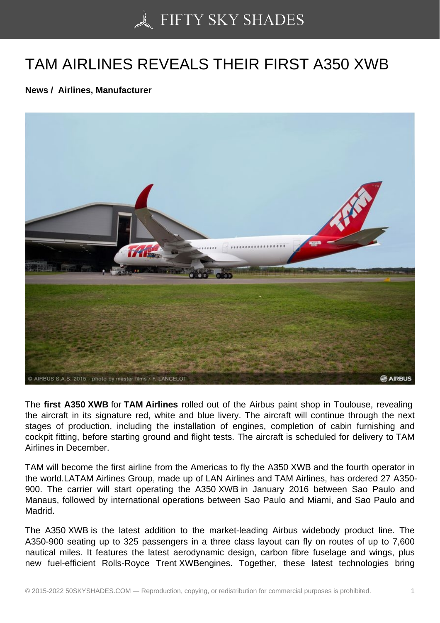## [TAM AIRLINES REVEA](https://50skyshades.com)LS THEIR FIRST A350 XWB

News / Airlines, Manufacturer

The first A350 XWB for TAM Airlines rolled out of the Airbus paint shop in Toulouse, revealing the aircraft in its signature red, white and blue livery. The aircraft will continue through the next stages of production, including the installation of engines, completion of cabin furnishing and cockpit fitting, before starting ground and flight tests. The aircraft is scheduled for delivery to TAM Airlines in December.

TAM will become the first airline from the Americas to fly the A350 XWB and the fourth operator in the world.LATAM Airlines Group, made up of LAN Airlines and TAM Airlines, has ordered 27 A350- 900. The carrier will start operating the A350 XWB in January 2016 between Sao Paulo and Manaus, followed by international operations between Sao Paulo and Miami, and Sao Paulo and Madrid.

The A350 XWB is the latest addition to the market-leading Airbus widebody product line. The A350-900 seating up to 325 passengers in a three class layout can fly on routes of up to 7,600 nautical miles. It features the latest aerodynamic design, carbon fibre fuselage and wings, plus new fuel-efficient Rolls-Royce Trent XWBengines. Together, these latest technologies bring